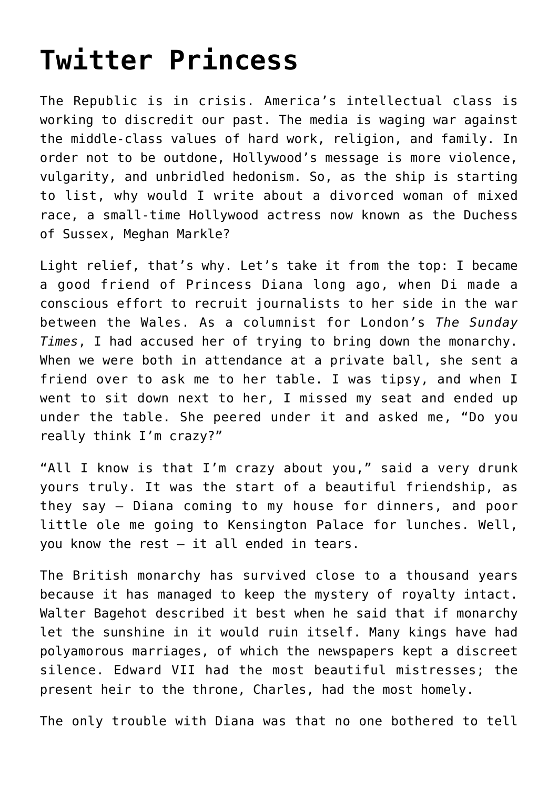## **[Twitter Princess](https://intellectualtakeout.org/2019/11/twitter-princess/)**

The Republic is in crisis. America's intellectual class is working to discredit our past. The media is waging war against the middle-class values of hard work, religion, and family. In order not to be outdone, Hollywood's message is more violence, vulgarity, and unbridled hedonism. So, as the ship is starting to list, why would I write about a divorced woman of mixed race, a small-time Hollywood actress now known as the Duchess of Sussex, Meghan Markle?

Light relief, that's why. Let's take it from the top: I became a good friend of Princess Diana long ago, when Di made a conscious effort to recruit journalists to her side in the war between the Wales. As a columnist for London's *The Sunday Times*, I had accused her of trying to bring down the monarchy. When we were both in attendance at a private ball, she sent a friend over to ask me to her table. I was tipsy, and when I went to sit down next to her, I missed my seat and ended up under the table. She peered under it and asked me, "Do you really think I'm crazy?"

"All I know is that I'm crazy about you," said a very drunk yours truly. It was the start of a beautiful friendship, as they say – Diana coming to my house for dinners, and poor little ole me going to Kensington Palace for lunches. Well, you know the rest – it all ended in tears.

The British monarchy has survived close to a thousand years because it has managed to keep the mystery of royalty intact. Walter Bagehot described it best when he said that if monarchy let the sunshine in it would ruin itself. Many kings have had polyamorous marriages, of which the newspapers kept a discreet silence. Edward VII had the most beautiful mistresses; the present heir to the throne, Charles, had the most homely.

The only trouble with Diana was that no one bothered to tell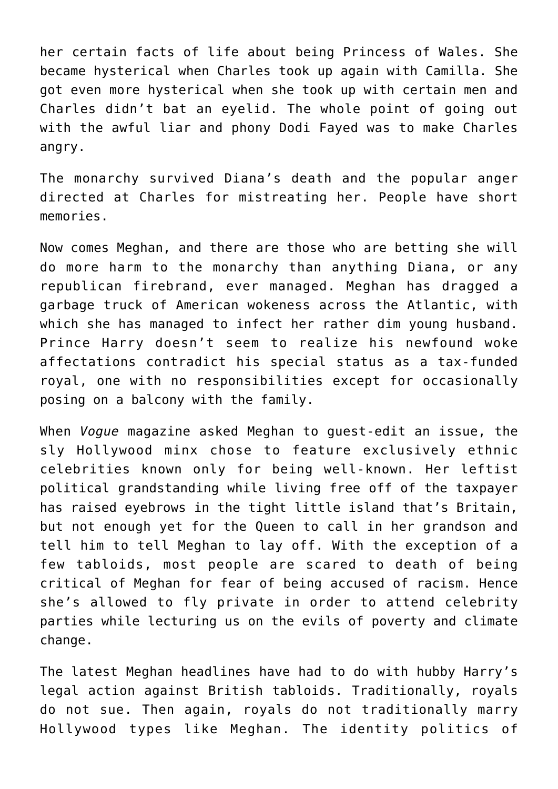her certain facts of life about being Princess of Wales. She became hysterical when Charles took up again with Camilla. She got even more hysterical when she took up with certain men and Charles didn't bat an eyelid. The whole point of going out with the awful liar and phony Dodi Fayed was to make Charles angry.

The monarchy survived Diana's death and the popular anger directed at Charles for mistreating her. People have short memories.

Now comes Meghan, and there are those who are betting she will do more harm to the monarchy than anything Diana, or any republican firebrand, ever managed. Meghan has dragged a garbage truck of American wokeness across the Atlantic, with which she has managed to infect her rather dim young husband. Prince Harry doesn't seem to realize his newfound woke affectations contradict his special status as a tax-funded royal, one with no responsibilities except for occasionally posing on a balcony with the family.

When *Vogue* magazine asked Meghan to guest-edit an issue, the sly Hollywood minx chose to feature exclusively ethnic celebrities known only for being well-known. Her leftist political grandstanding while living free off of the taxpayer has raised eyebrows in the tight little island that's Britain, but not enough yet for the Queen to call in her grandson and tell him to tell Meghan to lay off. With the exception of a few tabloids, most people are scared to death of being critical of Meghan for fear of being accused of racism. Hence she's allowed to fly private in order to attend celebrity parties while lecturing us on the evils of poverty and climate change.

The latest Meghan headlines have had to do with hubby Harry's legal action against British tabloids. Traditionally, royals do not sue. Then again, royals do not traditionally marry Hollywood types like Meghan. The identity politics of